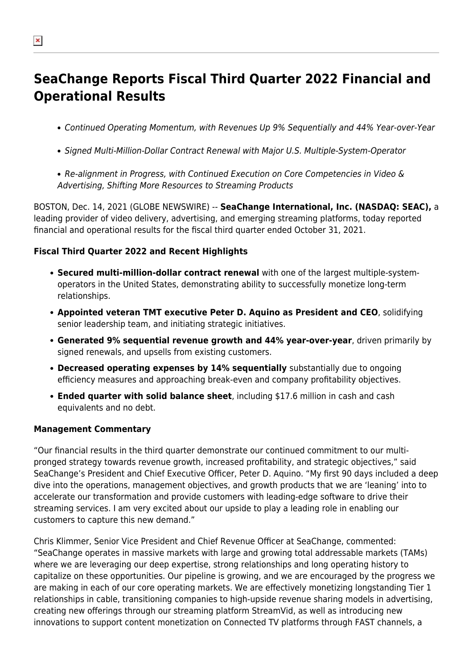# **SeaChange Reports Fiscal Third Quarter 2022 Financial and Operational Results**

- Continued Operating Momentum, with Revenues Up 9% Sequentially and 44% Year-over-Year
- Signed Multi-Million-Dollar Contract Renewal with Major U.S. Multiple-System-Operator
- Re-alignment in Progress, with Continued Execution on Core Competencies in Video & Advertising, Shifting More Resources to Streaming Products

BOSTON, Dec. 14, 2021 (GLOBE NEWSWIRE) -- **SeaChange International, Inc. (NASDAQ: SEAC),** a leading provider of video delivery, advertising, and emerging streaming platforms, today reported financial and operational results for the fiscal third quarter ended October 31, 2021.

#### **Fiscal Third Quarter 2022 and Recent Highlights**

- **Secured multi-million-dollar contract renewal** with one of the largest multiple-systemoperators in the United States, demonstrating ability to successfully monetize long-term relationships.
- **Appointed veteran TMT executive Peter D. Aquino as President and CEO**, solidifying senior leadership team, and initiating strategic initiatives.
- **Generated 9% sequential revenue growth and 44% year-over-year**, driven primarily by signed renewals, and upsells from existing customers.
- **Decreased operating expenses by 14% sequentially** substantially due to ongoing efficiency measures and approaching break-even and company profitability objectives.
- **Ended quarter with solid balance sheet**, including \$17.6 million in cash and cash equivalents and no debt.

#### **Management Commentary**

"Our financial results in the third quarter demonstrate our continued commitment to our multipronged strategy towards revenue growth, increased profitability, and strategic objectives," said SeaChange's President and Chief Executive Officer, Peter D. Aquino. "My first 90 days included a deep dive into the operations, management objectives, and growth products that we are 'leaning' into to accelerate our transformation and provide customers with leading-edge software to drive their streaming services. I am very excited about our upside to play a leading role in enabling our customers to capture this new demand."

Chris Klimmer, Senior Vice President and Chief Revenue Officer at SeaChange, commented: "SeaChange operates in massive markets with large and growing total addressable markets (TAMs) where we are leveraging our deep expertise, strong relationships and long operating history to capitalize on these opportunities. Our pipeline is growing, and we are encouraged by the progress we are making in each of our core operating markets. We are effectively monetizing longstanding Tier 1 relationships in cable, transitioning companies to high-upside revenue sharing models in advertising, creating new offerings through our streaming platform StreamVid, as well as introducing new innovations to support content monetization on Connected TV platforms through FAST channels, a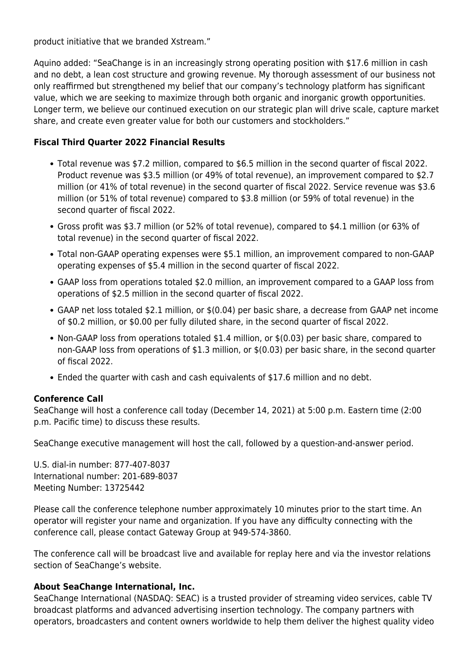product initiative that we branded Xstream."

Aquino added: "SeaChange is in an increasingly strong operating position with \$17.6 million in cash and no debt, a lean cost structure and growing revenue. My thorough assessment of our business not only reaffirmed but strengthened my belief that our company's technology platform has significant value, which we are seeking to maximize through both organic and inorganic growth opportunities. Longer term, we believe our continued execution on our strategic plan will drive scale, capture market share, and create even greater value for both our customers and stockholders."

# **Fiscal Third Quarter 2022 Financial Results**

- Total revenue was \$7.2 million, compared to \$6.5 million in the second quarter of fiscal 2022. Product revenue was \$3.5 million (or 49% of total revenue), an improvement compared to \$2.7 million (or 41% of total revenue) in the second quarter of fiscal 2022. Service revenue was \$3.6 million (or 51% of total revenue) compared to \$3.8 million (or 59% of total revenue) in the second quarter of fiscal 2022.
- Gross profit was \$3.7 million (or 52% of total revenue), compared to \$4.1 million (or 63% of total revenue) in the second quarter of fiscal 2022.
- Total non-GAAP operating expenses were \$5.1 million, an improvement compared to non-GAAP operating expenses of \$5.4 million in the second quarter of fiscal 2022.
- GAAP loss from operations totaled \$2.0 million, an improvement compared to a GAAP loss from operations of \$2.5 million in the second quarter of fiscal 2022.
- GAAP net loss totaled \$2.1 million, or \$(0.04) per basic share, a decrease from GAAP net income of \$0.2 million, or \$0.00 per fully diluted share, in the second quarter of fiscal 2022.
- Non-GAAP loss from operations totaled \$1.4 million, or \$(0.03) per basic share, compared to non-GAAP loss from operations of \$1.3 million, or \$(0.03) per basic share, in the second quarter of fiscal 2022.
- Ended the quarter with cash and cash equivalents of \$17.6 million and no debt.

## **Conference Call**

SeaChange will host a conference call today (December 14, 2021) at 5:00 p.m. Eastern time (2:00 p.m. Pacific time) to discuss these results.

SeaChange executive management will host the call, followed by a question-and-answer period.

U.S. dial-in number: 877-407-8037 International number: 201-689-8037 Meeting Number: 13725442

Please call the conference telephone number approximately 10 minutes prior to the start time. An operator will register your name and organization. If you have any difficulty connecting with the conference call, please contact Gateway Group at 949-574-3860.

The conference call will be broadcast live and available for replay here and via the investor relations section of SeaChange's website.

## **About SeaChange International, Inc.**

SeaChange International (NASDAQ: SEAC) is a trusted provider of streaming video services, cable TV broadcast platforms and advanced advertising insertion technology. The company partners with operators, broadcasters and content owners worldwide to help them deliver the highest quality video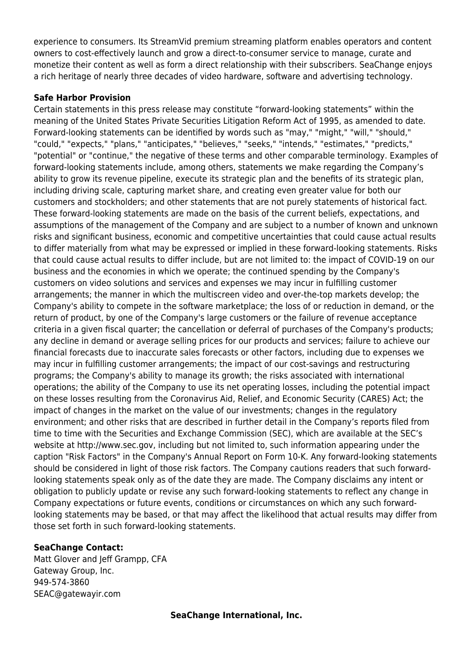experience to consumers. Its StreamVid premium streaming platform enables operators and content owners to cost-effectively launch and grow a direct-to-consumer service to manage, curate and monetize their content as well as form a direct relationship with their subscribers. SeaChange enjoys a rich heritage of nearly three decades of video hardware, software and advertising technology.

#### **Safe Harbor Provision**

Certain statements in this press release may constitute "forward-looking statements" within the meaning of the United States Private Securities Litigation Reform Act of 1995, as amended to date. Forward-looking statements can be identified by words such as "may," "might," "will," "should," "could," "expects," "plans," "anticipates," "believes," "seeks," "intends," "estimates," "predicts," "potential" or "continue," the negative of these terms and other comparable terminology. Examples of forward-looking statements include, among others, statements we make regarding the Company's ability to grow its revenue pipeline, execute its strategic plan and the benefits of its strategic plan, including driving scale, capturing market share, and creating even greater value for both our customers and stockholders; and other statements that are not purely statements of historical fact. These forward-looking statements are made on the basis of the current beliefs, expectations, and assumptions of the management of the Company and are subject to a number of known and unknown risks and significant business, economic and competitive uncertainties that could cause actual results to differ materially from what may be expressed or implied in these forward-looking statements. Risks that could cause actual results to differ include, but are not limited to: the impact of COVID-19 on our business and the economies in which we operate; the continued spending by the Company's customers on video solutions and services and expenses we may incur in fulfilling customer arrangements; the manner in which the multiscreen video and over-the-top markets develop; the Company's ability to compete in the software marketplace; the loss of or reduction in demand, or the return of product, by one of the Company's large customers or the failure of revenue acceptance criteria in a given fiscal quarter; the cancellation or deferral of purchases of the Company's products; any decline in demand or average selling prices for our products and services; failure to achieve our financial forecasts due to inaccurate sales forecasts or other factors, including due to expenses we may incur in fulfilling customer arrangements; the impact of our cost-savings and restructuring programs; the Company's ability to manage its growth; the risks associated with international operations; the ability of the Company to use its net operating losses, including the potential impact on these losses resulting from the Coronavirus Aid, Relief, and Economic Security (CARES) Act; the impact of changes in the market on the value of our investments; changes in the regulatory environment; and other risks that are described in further detail in the Company's reports filed from time to time with the Securities and Exchange Commission (SEC), which are available at the SEC's website at http://www.sec.gov, including but not limited to, such information appearing under the caption "Risk Factors" in the Company's Annual Report on Form 10-K. Any forward-looking statements should be considered in light of those risk factors. The Company cautions readers that such forwardlooking statements speak only as of the date they are made. The Company disclaims any intent or obligation to publicly update or revise any such forward-looking statements to reflect any change in Company expectations or future events, conditions or circumstances on which any such forwardlooking statements may be based, or that may affect the likelihood that actual results may differ from those set forth in such forward-looking statements.

## **SeaChange Contact:**

Matt Glover and Jeff Grampp, CFA Gateway Group, Inc. 949-574-3860 SEAC@gatewayir.com

**SeaChange International, Inc.**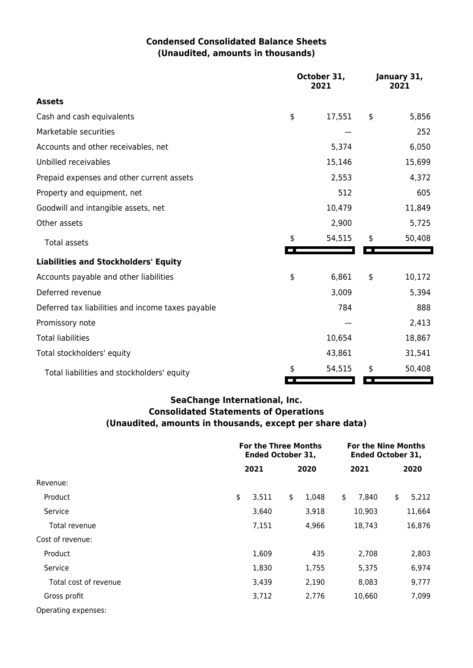# **Condensed Consolidated Balance Sheets (Unaudited, amounts in thousands)**

|                                                   | October 31,<br>2021 | January 31,<br>2021 |
|---------------------------------------------------|---------------------|---------------------|
| <b>Assets</b>                                     |                     |                     |
| Cash and cash equivalents                         | \$<br>17,551        | \$<br>5,856         |
| Marketable securities                             |                     | 252                 |
| Accounts and other receivables, net               | 5,374               | 6,050               |
| Unbilled receivables                              | 15,146              | 15,699              |
| Prepaid expenses and other current assets         | 2,553               | 4,372               |
| Property and equipment, net                       | 512                 | 605                 |
| Goodwill and intangible assets, net               | 10,479              | 11,849              |
| Other assets                                      | 2,900               | 5,725               |
| Total assets                                      | \$<br>54,515        | \$<br>50,408        |
| <b>Liabilities and Stockholders' Equity</b>       |                     |                     |
| Accounts payable and other liabilities            | \$<br>6,861         | \$<br>10,172        |
| Deferred revenue                                  | 3,009               | 5,394               |
| Deferred tax liabilities and income taxes payable | 784                 | 888                 |
| Promissory note                                   |                     | 2,413               |
| <b>Total liabilities</b>                          | 10,654              | 18,867              |
| Total stockholders' equity                        | 43,861              | 31,541              |
| Total liabilities and stockholders' equity        | \$<br>54,515        | \$<br>50,408        |

## **SeaChange International, Inc. Consolidated Statements of Operations (Unaudited, amounts in thousands, except per share data)**

|                       | <b>For the Three Months</b><br><b>Ended October 31,</b> |       |    |       |    | <b>For the Nine Months</b><br><b>Ended October 31,</b> |    |        |
|-----------------------|---------------------------------------------------------|-------|----|-------|----|--------------------------------------------------------|----|--------|
|                       |                                                         | 2021  |    | 2020  |    | 2021                                                   |    | 2020   |
| Revenue:              |                                                         |       |    |       |    |                                                        |    |        |
| Product               | \$                                                      | 3,511 | \$ | 1,048 | \$ | 7,840                                                  | \$ | 5,212  |
| Service               |                                                         | 3,640 |    | 3,918 |    | 10,903                                                 |    | 11,664 |
| Total revenue         |                                                         | 7,151 |    | 4,966 |    | 18,743                                                 |    | 16,876 |
| Cost of revenue:      |                                                         |       |    |       |    |                                                        |    |        |
| Product               |                                                         | 1,609 |    | 435   |    | 2,708                                                  |    | 2,803  |
| Service               |                                                         | 1,830 |    | 1,755 |    | 5,375                                                  |    | 6,974  |
| Total cost of revenue |                                                         | 3,439 |    | 2,190 |    | 8,083                                                  |    | 9,777  |
| Gross profit          |                                                         | 3,712 |    | 2,776 |    | 10,660                                                 |    | 7,099  |
| Operating expenses:   |                                                         |       |    |       |    |                                                        |    |        |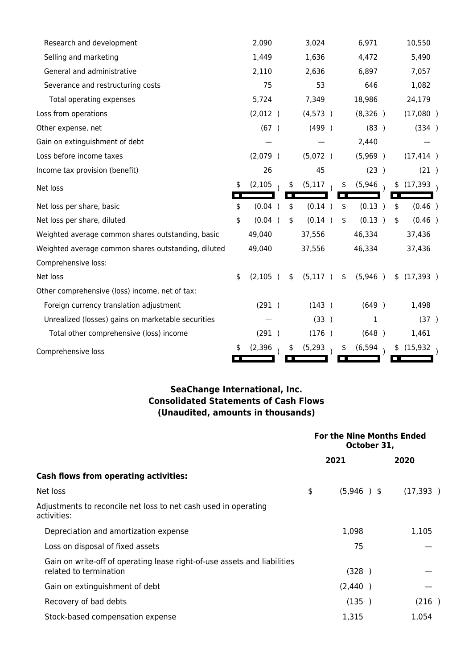| Research and development                            | 2,090          | 3,024          | 6,971          |    | 10,550     |  |
|-----------------------------------------------------|----------------|----------------|----------------|----|------------|--|
| Selling and marketing                               | 1,449          | 1,636          | 4,472          |    | 5,490      |  |
| General and administrative                          | 2,110          | 2,636          | 6,897          |    | 7,057      |  |
| Severance and restructuring costs                   | 75             | 53             | 646            |    | 1,082      |  |
| Total operating expenses                            | 5,724          | 7,349          | 18,986         |    | 24,179     |  |
| Loss from operations                                | (2,012)        | (4,573)        | (8,326)        |    | (17,080)   |  |
| Other expense, net                                  | (67)           | (499)          | (83)           |    | (334)      |  |
| Gain on extinguishment of debt                      |                |                | 2,440          |    |            |  |
| Loss before income taxes                            | (2,079)        | (5,072)        | (5,969)        |    | (17, 414)  |  |
| Income tax provision (benefit)                      | 26             | 45             | (23)           |    | (21)       |  |
| Net loss                                            | \$<br>(2, 105) | (5, 117)       | \$<br>(5,946)  | \$ | (17, 393)  |  |
| Net loss per share, basic                           | \$<br>(0.04)   | \$<br>(0.14)   | \$<br>(0.13)   | \$ | (0.46)     |  |
| Net loss per share, diluted                         | \$<br>(0.04)   | \$<br>(0.14)   | \$<br>(0.13)   | \$ | (0.46)     |  |
| Weighted average common shares outstanding, basic   | 49,040         | 37,556         | 46,334         |    | 37,436     |  |
| Weighted average common shares outstanding, diluted | 49,040         | 37,556         | 46,334         |    | 37,436     |  |
| Comprehensive loss:                                 |                |                |                |    |            |  |
| Net loss                                            | \$<br>(2, 105) | \$<br>(5, 117) | \$<br>(5,946)  |    | \$(17,393) |  |
| Other comprehensive (loss) income, net of tax:      |                |                |                |    |            |  |
| Foreign currency translation adjustment             | (291)          | (143)          | (649)          |    | 1,498      |  |
| Unrealized (losses) gains on marketable securities  |                | (33)           | 1              |    | (37)       |  |
| Total other comprehensive (loss) income             | (291)          | (176)          | (648)          |    | 1,461      |  |
| Comprehensive loss                                  | \$<br>(2, 396) | \$<br>(5, 293) | \$<br>(6, 594) |    | (15, 932)  |  |

# **SeaChange International, Inc. Consolidated Statements of Cash Flows (Unaudited, amounts in thousands)**

|                                                                                                    | <b>For the Nine Months Ended</b><br>October 31, |              |           |  |  |  |  |  |
|----------------------------------------------------------------------------------------------------|-------------------------------------------------|--------------|-----------|--|--|--|--|--|
|                                                                                                    |                                                 | 2021         | 2020      |  |  |  |  |  |
| <b>Cash flows from operating activities:</b>                                                       |                                                 |              |           |  |  |  |  |  |
| Net loss                                                                                           | \$                                              | $(5,946)$ \$ | (17, 393) |  |  |  |  |  |
| Adjustments to reconcile net loss to net cash used in operating<br>activities:                     |                                                 |              |           |  |  |  |  |  |
| Depreciation and amortization expense                                                              |                                                 | 1,098        | 1,105     |  |  |  |  |  |
| Loss on disposal of fixed assets                                                                   |                                                 | 75           |           |  |  |  |  |  |
| Gain on write-off of operating lease right-of-use assets and liabilities<br>related to termination |                                                 | (328)        |           |  |  |  |  |  |
| Gain on extinguishment of debt                                                                     |                                                 | (2, 440)     |           |  |  |  |  |  |
| Recovery of bad debts                                                                              |                                                 | (135)        | (216)     |  |  |  |  |  |
| Stock-based compensation expense                                                                   |                                                 | 1,315        | 1,054     |  |  |  |  |  |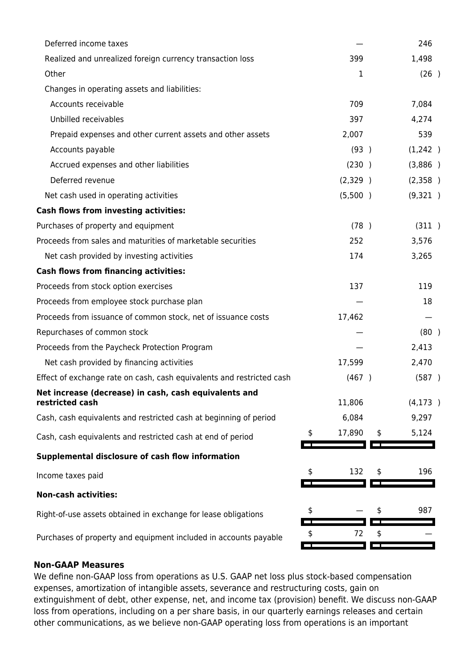| Deferred income taxes                                                    |              | 246         |  |
|--------------------------------------------------------------------------|--------------|-------------|--|
| Realized and unrealized foreign currency transaction loss                | 399          | 1,498       |  |
| Other                                                                    | 1            | (26)        |  |
| Changes in operating assets and liabilities:                             |              |             |  |
| Accounts receivable                                                      | 709          | 7,084       |  |
| Unbilled receivables                                                     | 397          | 4,274       |  |
| Prepaid expenses and other current assets and other assets               | 2,007        | 539         |  |
| Accounts payable                                                         | (93)         | (1,242)     |  |
| Accrued expenses and other liabilities                                   | (230)        | (3,886)     |  |
| Deferred revenue                                                         | (2,329)      | (2,358)     |  |
| Net cash used in operating activities                                    | (5,500)      | (9,321)     |  |
| <b>Cash flows from investing activities:</b>                             |              |             |  |
| Purchases of property and equipment                                      | (78)         | (311)       |  |
| Proceeds from sales and maturities of marketable securities              | 252          | 3,576       |  |
| Net cash provided by investing activities                                | 174          | 3,265       |  |
| <b>Cash flows from financing activities:</b>                             |              |             |  |
| Proceeds from stock option exercises                                     | 137          | 119         |  |
| Proceeds from employee stock purchase plan                               |              | 18          |  |
| Proceeds from issuance of common stock, net of issuance costs            | 17,462       |             |  |
| Repurchases of common stock                                              |              | (80)        |  |
| Proceeds from the Paycheck Protection Program                            |              | 2,413       |  |
| Net cash provided by financing activities                                | 17,599       | 2,470       |  |
| Effect of exchange rate on cash, cash equivalents and restricted cash    | (467)        | (587)       |  |
| Net increase (decrease) in cash, cash equivalents and<br>restricted cash | 11,806       | (4, 173)    |  |
| Cash, cash equivalents and restricted cash at beginning of period        | 6,084        | 9,297       |  |
| Cash, cash equivalents and restricted cash at end of period              | \$<br>17,890 | \$<br>5,124 |  |
| Supplemental disclosure of cash flow information                         |              |             |  |
| Income taxes paid                                                        | \$<br>132    | \$<br>196   |  |
| <b>Non-cash activities:</b>                                              |              |             |  |
| Right-of-use assets obtained in exchange for lease obligations           | \$           | \$<br>987   |  |
| Purchases of property and equipment included in accounts payable         | 72           | \$          |  |

#### **Non-GAAP Measures**

We define non-GAAP loss from operations as U.S. GAAP net loss plus stock-based compensation expenses, amortization of intangible assets, severance and restructuring costs, gain on extinguishment of debt, other expense, net, and income tax (provision) benefit. We discuss non-GAAP loss from operations, including on a per share basis, in our quarterly earnings releases and certain other communications, as we believe non-GAAP operating loss from operations is an important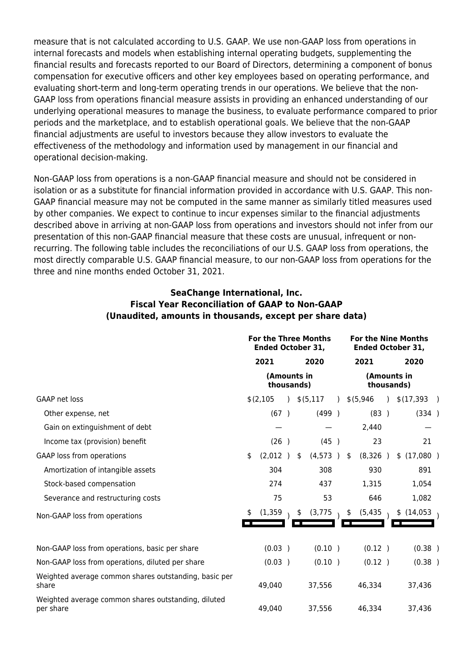measure that is not calculated according to U.S. GAAP. We use non-GAAP loss from operations in internal forecasts and models when establishing internal operating budgets, supplementing the financial results and forecasts reported to our Board of Directors, determining a component of bonus compensation for executive officers and other key employees based on operating performance, and evaluating short-term and long-term operating trends in our operations. We believe that the non-GAAP loss from operations financial measure assists in providing an enhanced understanding of our underlying operational measures to manage the business, to evaluate performance compared to prior periods and the marketplace, and to establish operational goals. We believe that the non-GAAP financial adjustments are useful to investors because they allow investors to evaluate the effectiveness of the methodology and information used by management in our financial and operational decision-making.

Non-GAAP loss from operations is a non-GAAP financial measure and should not be considered in isolation or as a substitute for financial information provided in accordance with U.S. GAAP. This non-GAAP financial measure may not be computed in the same manner as similarly titled measures used by other companies. We expect to continue to incur expenses similar to the financial adjustments described above in arriving at non-GAAP loss from operations and investors should not infer from our presentation of this non-GAAP financial measure that these costs are unusual, infrequent or nonrecurring. The following table includes the reconciliations of our U.S. GAAP loss from operations, the most directly comparable U.S. GAAP financial measure, to our non-GAAP loss from operations for the three and nine months ended October 31, 2021.

#### **SeaChange International, Inc. Fiscal Year Reconciliation of GAAP to Non-GAAP (Unaudited, amounts in thousands, except per share data)**

|                                                                  | <b>For the Three Months</b><br><b>Ended October 31,</b> |           |  |                | <b>For the Nine Months</b><br><b>Ended October 31,</b> |                           |                |  |  |  |  |
|------------------------------------------------------------------|---------------------------------------------------------|-----------|--|----------------|--------------------------------------------------------|---------------------------|----------------|--|--|--|--|
|                                                                  |                                                         | 2021      |  | 2020           | 2021                                                   |                           | 2020           |  |  |  |  |
|                                                                  | (Amounts in<br>thousands)                               |           |  |                |                                                        | (Amounts in<br>thousands) |                |  |  |  |  |
| GAAP net loss                                                    |                                                         | \$(2,105) |  | \$ (5, 117)    | \$ (5,946)                                             | $\mathcal{L}$             | \$(17,393)     |  |  |  |  |
| Other expense, net                                               |                                                         | (67)      |  | (499)          | (83)                                                   |                           | (334)          |  |  |  |  |
| Gain on extinguishment of debt                                   |                                                         |           |  |                | 2,440                                                  |                           |                |  |  |  |  |
| Income tax (provision) benefit                                   |                                                         | (26)      |  | (45)           | 23                                                     |                           | 21             |  |  |  |  |
| GAAP loss from operations                                        | \$                                                      | (2,012)   |  | (4,573)<br>\$  | (8,326)<br>\$                                          |                           | \$(17,080)     |  |  |  |  |
| Amortization of intangible assets                                |                                                         | 304       |  | 308            | 930                                                    |                           | 891            |  |  |  |  |
| Stock-based compensation                                         |                                                         | 274       |  | 437            | 1,315                                                  |                           | 1,054          |  |  |  |  |
| Severance and restructuring costs                                |                                                         | 75        |  | 53             | 646                                                    |                           | 1,082          |  |  |  |  |
| Non-GAAP loss from operations                                    | \$                                                      | (1, 359)  |  | (3, 775)<br>\$ | (5, 435)<br>\$                                         |                           | (14,053)<br>\$ |  |  |  |  |
| Non-GAAP loss from operations, basic per share                   |                                                         | (0.03)    |  | (0.10)         | (0.12)                                                 |                           | (0.38)         |  |  |  |  |
| Non-GAAP loss from operations, diluted per share                 |                                                         | (0.03)    |  | (0.10)         | (0.12)                                                 |                           | (0.38)         |  |  |  |  |
| Weighted average common shares outstanding, basic per<br>share   |                                                         | 49,040    |  | 37,556         | 46,334                                                 |                           | 37,436         |  |  |  |  |
| Weighted average common shares outstanding, diluted<br>per share |                                                         | 49,040    |  | 37,556         | 46,334                                                 |                           | 37,436         |  |  |  |  |